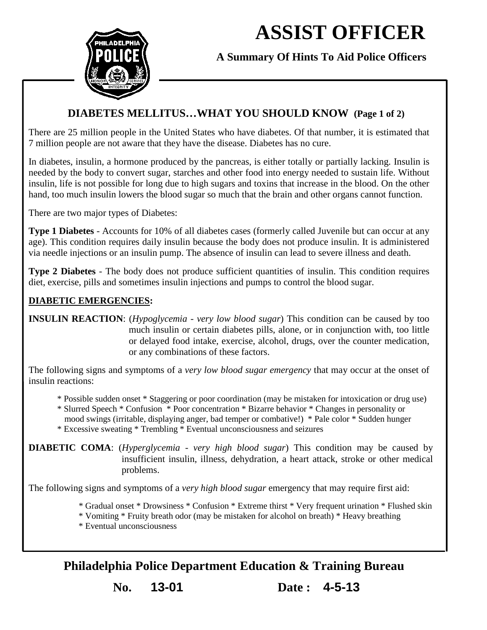# **ASSIST OFFICER**



**A Summary Of Hints To Aid Police Officers**

## **DIABETES MELLITUS…WHAT YOU SHOULD KNOW (Page 1 of 2)**

There are 25 million people in the United States who have diabetes. Of that number, it is estimated that 7 million people are not aware that they have the disease. Diabetes has no cure.

In diabetes, insulin, a hormone produced by the pancreas, is either totally or partially lacking. Insulin is needed by the body to convert sugar, starches and other food into energy needed to sustain life. Without insulin, life is not possible for long due to high sugars and toxins that increase in the blood. On the other hand, too much insulin lowers the blood sugar so much that the brain and other organs cannot function.

There are two major types of Diabetes:

**Type 1 Diabetes** - Accounts for 10% of all diabetes cases (formerly called Juvenile but can occur at any age). This condition requires daily insulin because the body does not produce insulin. It is administered via needle injections or an insulin pump. The absence of insulin can lead to severe illness and death.

**Type 2 Diabetes** - The body does not produce sufficient quantities of insulin. This condition requires diet, exercise, pills and sometimes insulin injections and pumps to control the blood sugar.

### **DIABETIC EMERGENCIES:**

**INSULIN REACTION**: (*Hypoglycemia - very low blood sugar*) This condition can be caused by too much insulin or certain diabetes pills, alone, or in conjunction with, too little or delayed food intake, exercise, alcohol, drugs, over the counter medication, or any combinations of these factors.

The following signs and symptoms of a *very low blood sugar emergency* that may occur at the onset of insulin reactions:

- \* Possible sudden onset \* Staggering or poor coordination (may be mistaken for intoxication or drug use)
- \* Slurred Speech \* Confusion \* Poor concentration \* Bizarre behavior \* Changes in personality or
- mood swings (irritable, displaying anger, bad temper or combative!) \* Pale color \* Sudden hunger
- \* Excessive sweating \* Trembling \* Eventual unconsciousness and seizures

**DIABETIC COMA**: (*Hyperglycemia - very high blood sugar*) This condition may be caused by insufficient insulin, illness, dehydration, a heart attack, stroke or other medical problems.

The following signs and symptoms of a *very high blood sugar* emergency that may require first aid:

- \* Gradual onset \* Drowsiness \* Confusion \* Extreme thirst \* Very frequent urination \* Flushed skin
- \* Vomiting \* Fruity breath odor (may be mistaken for alcohol on breath) \* Heavy breathing
- \* Eventual unconsciousness

**Philadelphia Police Department Education & Training Bureau**

**No. 13-01 Date : 4-5-13**